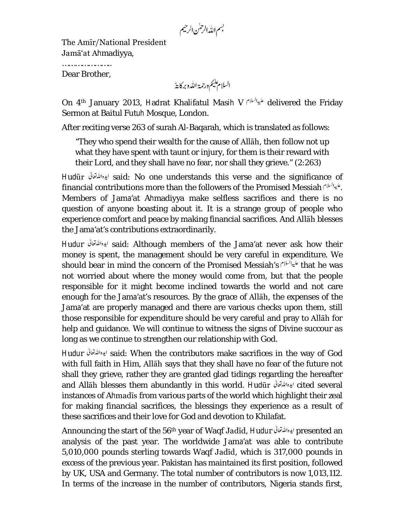بسم الله الرحمٰن الرحيم

The Amīr/National President Jamā'at Ahmadiyya,

………………………… Dear Brother,

السلام يليم ورحمة الله وبركايةُ

On 4<sup>th</sup> January 2013, Hadrat Khalifatul Masih V ليبالله delivered the Friday Sermon at Baitul Futuh Mosque, London.

After reciting verse 263 of surah Al-Baqarah, which is translated as follows:

"They who spend their wealth for the cause of Allāh, then follow not up what they have spent with taunt or injury, for them is their reward with their Lord, and they shall have no fear, nor shall they grieve." (2:263)

Hudūr said: No one understands this verse and the significance of financial contributions more than the followers of the Promised Messiah . Members of Jama'at Ahmadiyya make selfless sacrifices and there is no question of anyone boasting about it. It is a strange group of people who experience comfort and peace by making financial sacrifices. And Allāh blesses the Jama'at's contributions extraordinarily.

Hudur said: Although members of the Jama'at never ask how their money is spent, the management should be very careful in expenditure. We should bear in mind the concern of the Promised Messiah's fractional station was not worried about where the money would come from, but that the people responsible for it might become inclined towards the world and not care enough for the Jama'at's resources. By the grace of Allāh, the expenses of the Jama'at are properly managed and there are various checks upon them, still those responsible for expenditure should be very careful and pray to Allāh for help and guidance. We will continue to witness the signs of Divine succour as long as we continue to strengthen our relationship with God.

Hudur said: When the contributors make sacrifices in the way of God with full faith in Him, Allāh says that they shall have no fear of the future not shall they grieve, rather they are granted glad tidings regarding the hereafter and Allāh blesses them abundantly in this world. Hudūr cited several instances of Ahmadīs from various parts of the world which highlight their zeal for making financial sacrifices, the blessings they experience as a result of these sacrifices and their love for God and devotion to Khilafat.

Announcing the start of the 56<sup>th</sup> year of Waqf Jadīd, Hudur ايده الله تعالى presented an analysis of the past year. The worldwide Jama'at was able to contribute 5,010,000 pounds sterling towards Waqf Jadīd, which is 317,000 pounds in excess of the previous year. Pakistan has maintained its first position, followed by UK, USA and Germany. The total number of contributors is now 1,013,112. In terms of the increase in the number of contributors, Nigeria stands first,